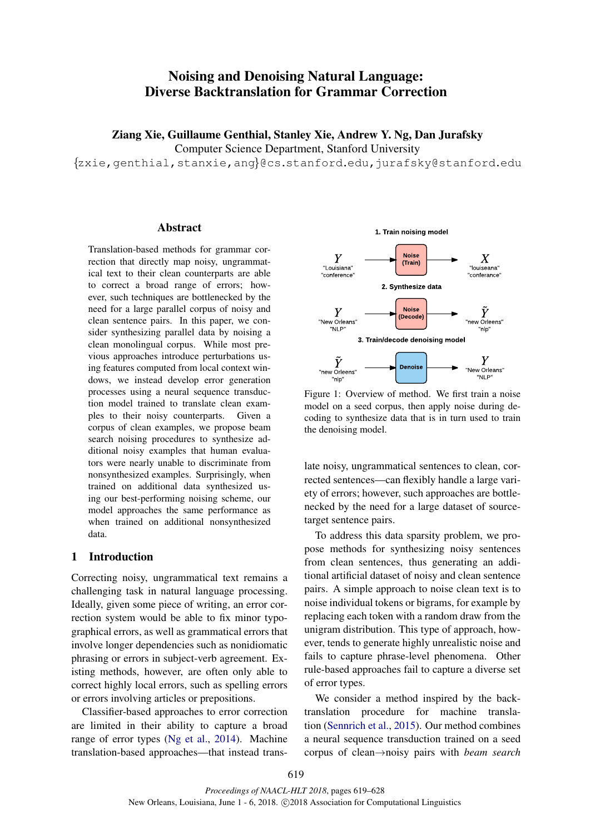# Noising and Denoising Natural Language: Diverse Backtranslation for Grammar Correction

Ziang Xie, Guillaume Genthial, Stanley Xie, Andrew Y. Ng, Dan Jurafsky

Computer Science Department, Stanford University

{zxie,genthial,stanxie,ang}@cs.stanford.edu,jurafsky@stanford.edu

## Abstract

Translation-based methods for grammar correction that directly map noisy, ungrammatical text to their clean counterparts are able to correct a broad range of errors; however, such techniques are bottlenecked by the need for a large parallel corpus of noisy and clean sentence pairs. In this paper, we consider synthesizing parallel data by noising a clean monolingual corpus. While most previous approaches introduce perturbations using features computed from local context windows, we instead develop error generation processes using a neural sequence transduction model trained to translate clean examples to their noisy counterparts. Given a corpus of clean examples, we propose beam search noising procedures to synthesize additional noisy examples that human evaluators were nearly unable to discriminate from nonsynthesized examples. Surprisingly, when trained on additional data synthesized using our best-performing noising scheme, our model approaches the same performance as when trained on additional nonsynthesized data.

## 1 Introduction

Correcting noisy, ungrammatical text remains a challenging task in natural language processing. Ideally, given some piece of writing, an error correction system would be able to fix minor typographical errors, as well as grammatical errors that involve longer dependencies such as nonidiomatic phrasing or errors in subject-verb agreement. Existing methods, however, are often only able to correct highly local errors, such as spelling errors or errors involving articles or prepositions.

Classifier-based approaches to error correction are limited in their ability to capture a broad range of error types (Ng et al., 2014). Machine translation-based approaches—that instead trans-



Figure 1: Overview of method. We first train a noise model on a seed corpus, then apply noise during decoding to synthesize data that is in turn used to train the denoising model.

late noisy, ungrammatical sentences to clean, corrected sentences—can flexibly handle a large variety of errors; however, such approaches are bottlenecked by the need for a large dataset of sourcetarget sentence pairs.

To address this data sparsity problem, we propose methods for synthesizing noisy sentences from clean sentences, thus generating an additional artificial dataset of noisy and clean sentence pairs. A simple approach to noise clean text is to noise individual tokens or bigrams, for example by replacing each token with a random draw from the unigram distribution. This type of approach, however, tends to generate highly unrealistic noise and fails to capture phrase-level phenomena. Other rule-based approaches fail to capture a diverse set of error types.

We consider a method inspired by the backtranslation procedure for machine translation (Sennrich et al., 2015). Our method combines a neural sequence transduction trained on a seed corpus of clean→noisy pairs with *beam search*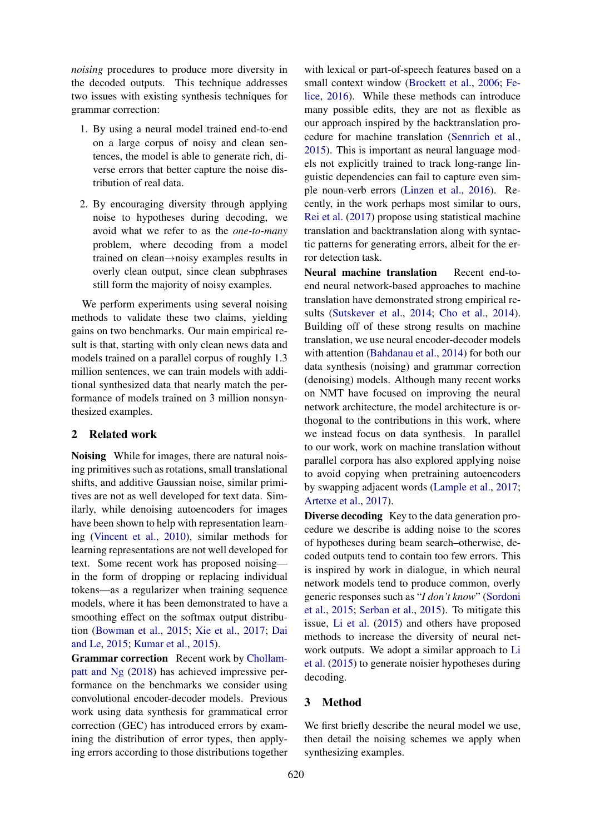*noising* procedures to produce more diversity in the decoded outputs. This technique addresses two issues with existing synthesis techniques for grammar correction:

- 1. By using a neural model trained end-to-end on a large corpus of noisy and clean sentences, the model is able to generate rich, diverse errors that better capture the noise distribution of real data.
- 2. By encouraging diversity through applying noise to hypotheses during decoding, we avoid what we refer to as the *one-to-many* problem, where decoding from a model trained on clean→noisy examples results in overly clean output, since clean subphrases still form the majority of noisy examples.

We perform experiments using several noising methods to validate these two claims, yielding gains on two benchmarks. Our main empirical result is that, starting with only clean news data and models trained on a parallel corpus of roughly 1.3 million sentences, we can train models with additional synthesized data that nearly match the performance of models trained on 3 million nonsynthesized examples.

## 2 Related work

Noising While for images, there are natural noising primitives such as rotations, small translational shifts, and additive Gaussian noise, similar primitives are not as well developed for text data. Similarly, while denoising autoencoders for images have been shown to help with representation learning (Vincent et al., 2010), similar methods for learning representations are not well developed for text. Some recent work has proposed noising in the form of dropping or replacing individual tokens—as a regularizer when training sequence models, where it has been demonstrated to have a smoothing effect on the softmax output distribution (Bowman et al., 2015; Xie et al., 2017; Dai and Le, 2015; Kumar et al., 2015).

Grammar correction Recent work by Chollampatt and Ng (2018) has achieved impressive performance on the benchmarks we consider using convolutional encoder-decoder models. Previous work using data synthesis for grammatical error correction (GEC) has introduced errors by examining the distribution of error types, then applying errors according to those distributions together

with lexical or part-of-speech features based on a small context window (Brockett et al., 2006; Felice, 2016). While these methods can introduce many possible edits, they are not as flexible as our approach inspired by the backtranslation procedure for machine translation (Sennrich et al., 2015). This is important as neural language models not explicitly trained to track long-range linguistic dependencies can fail to capture even simple noun-verb errors (Linzen et al., 2016). Recently, in the work perhaps most similar to ours, Rei et al. (2017) propose using statistical machine translation and backtranslation along with syntactic patterns for generating errors, albeit for the error detection task.

Neural machine translation Recent end-toend neural network-based approaches to machine translation have demonstrated strong empirical results (Sutskever et al., 2014; Cho et al., 2014). Building off of these strong results on machine translation, we use neural encoder-decoder models with attention (Bahdanau et al., 2014) for both our data synthesis (noising) and grammar correction (denoising) models. Although many recent works on NMT have focused on improving the neural network architecture, the model architecture is orthogonal to the contributions in this work, where we instead focus on data synthesis. In parallel to our work, work on machine translation without parallel corpora has also explored applying noise to avoid copying when pretraining autoencoders by swapping adjacent words (Lample et al., 2017; Artetxe et al., 2017).

Diverse decoding Key to the data generation procedure we describe is adding noise to the scores of hypotheses during beam search–otherwise, decoded outputs tend to contain too few errors. This is inspired by work in dialogue, in which neural network models tend to produce common, overly generic responses such as "*I don't know*" (Sordoni et al., 2015; Serban et al., 2015). To mitigate this issue, Li et al. (2015) and others have proposed methods to increase the diversity of neural network outputs. We adopt a similar approach to Li et al. (2015) to generate noisier hypotheses during decoding.

## 3 Method

We first briefly describe the neural model we use, then detail the noising schemes we apply when synthesizing examples.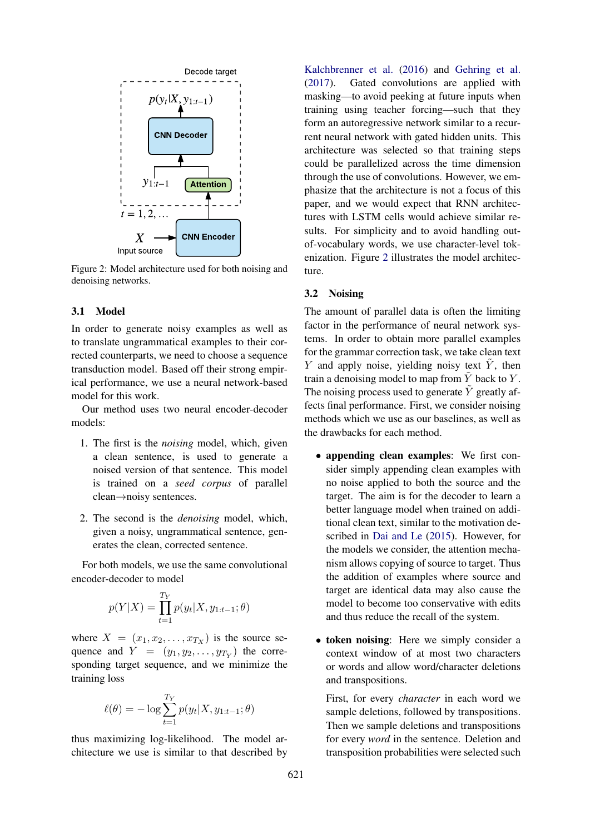

Figure 2: Model architecture used for both noising and denoising networks.

#### 3.1 Model

In order to generate noisy examples as well as to translate ungrammatical examples to their corrected counterparts, we need to choose a sequence transduction model. Based off their strong empirical performance, we use a neural network-based model for this work.

Our method uses two neural encoder-decoder models:

- 1. The first is the *noising* model, which, given a clean sentence, is used to generate a noised version of that sentence. This model is trained on a *seed corpus* of parallel clean→noisy sentences.
- 2. The second is the *denoising* model, which, given a noisy, ungrammatical sentence, generates the clean, corrected sentence.

For both models, we use the same convolutional encoder-decoder to model

$$
p(Y|X) = \prod_{t=1}^{T_Y} p(y_t|X, y_{1:t-1}; \theta)
$$

where  $X = (x_1, x_2, \dots, x_{T_X})$  is the source sequence and  $Y = (y_1, y_2, \dots, y_{T_Y})$  the corresponding target sequence, and we minimize the training loss

$$
\ell(\theta) = -\log \sum_{t=1}^{T_Y} p(y_t | X, y_{1:t-1}; \theta)
$$

thus maximizing log-likelihood. The model architecture we use is similar to that described by

Kalchbrenner et al. (2016) and Gehring et al. (2017). Gated convolutions are applied with masking—to avoid peeking at future inputs when training using teacher forcing—such that they form an autoregressive network similar to a recurrent neural network with gated hidden units. This architecture was selected so that training steps could be parallelized across the time dimension through the use of convolutions. However, we emphasize that the architecture is not a focus of this paper, and we would expect that RNN architectures with LSTM cells would achieve similar results. For simplicity and to avoid handling outof-vocabulary words, we use character-level tokenization. Figure 2 illustrates the model architecture.

#### 3.2 Noising

The amount of parallel data is often the limiting factor in the performance of neural network systems. In order to obtain more parallel examples for the grammar correction task, we take clean text Y and apply noise, yielding noisy text  $\tilde{Y}$ , then train a denoising model to map from  $\tilde{Y}$  back to Y. The noising process used to generate  $\tilde{Y}$  greatly affects final performance. First, we consider noising methods which we use as our baselines, as well as the drawbacks for each method.

- appending clean examples: We first consider simply appending clean examples with no noise applied to both the source and the target. The aim is for the decoder to learn a better language model when trained on additional clean text, similar to the motivation described in Dai and Le (2015). However, for the models we consider, the attention mechanism allows copying of source to target. Thus the addition of examples where source and target are identical data may also cause the model to become too conservative with edits and thus reduce the recall of the system.
- token noising: Here we simply consider a context window of at most two characters or words and allow word/character deletions and transpositions.

First, for every *character* in each word we sample deletions, followed by transpositions. Then we sample deletions and transpositions for every *word* in the sentence. Deletion and transposition probabilities were selected such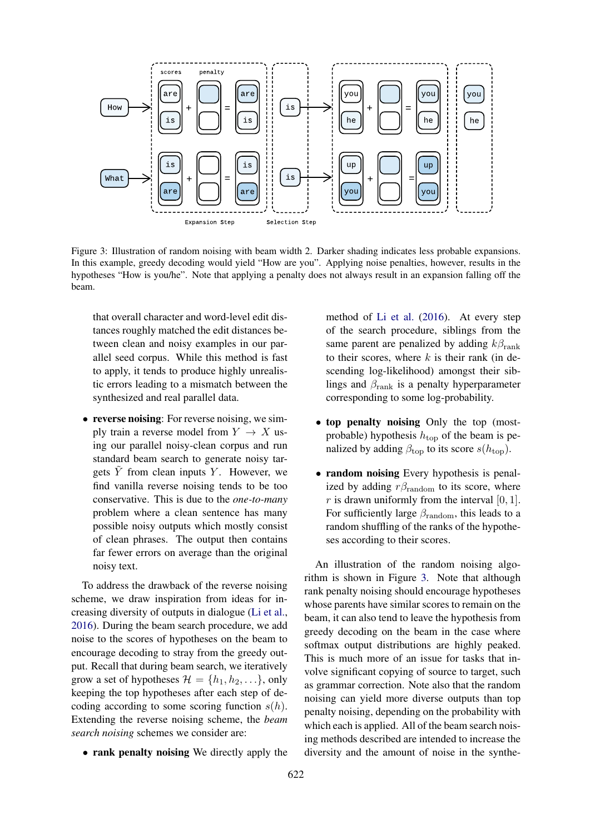

Figure 3: Illustration of random noising with beam width 2. Darker shading indicates less probable expansions. In this example, greedy decoding would yield "How are you". Applying noise penalties, however, results in the hypotheses "How is you/he". Note that applying a penalty does not always result in an expansion falling off the beam.

that overall character and word-level edit distances roughly matched the edit distances between clean and noisy examples in our parallel seed corpus. While this method is fast to apply, it tends to produce highly unrealistic errors leading to a mismatch between the synthesized and real parallel data.

• reverse noising: For reverse noising, we simply train a reverse model from  $Y \to X$  using our parallel noisy-clean corpus and run standard beam search to generate noisy targets  $\overline{Y}$  from clean inputs  $Y$ . However, we find vanilla reverse noising tends to be too conservative. This is due to the *one-to-many* problem where a clean sentence has many possible noisy outputs which mostly consist of clean phrases. The output then contains far fewer errors on average than the original noisy text.

To address the drawback of the reverse noising scheme, we draw inspiration from ideas for increasing diversity of outputs in dialogue (Li et al., 2016). During the beam search procedure, we add noise to the scores of hypotheses on the beam to encourage decoding to stray from the greedy output. Recall that during beam search, we iteratively grow a set of hypotheses  $\mathcal{H} = \{h_1, h_2, \ldots\}$ , only keeping the top hypotheses after each step of decoding according to some scoring function  $s(h)$ . Extending the reverse noising scheme, the *beam search noising* schemes we consider are:

• rank penalty noising We directly apply the

method of Li et al. (2016). At every step of the search procedure, siblings from the same parent are penalized by adding  $k\beta_{\text{rank}}$ to their scores, where  $k$  is their rank (in descending log-likelihood) amongst their siblings and  $\beta_{\text{rank}}$  is a penalty hyperparameter corresponding to some log-probability.

- top penalty noising Only the top (mostprobable) hypothesis  $h_{\text{top}}$  of the beam is penalized by adding  $\beta_{\text{top}}$  to its score  $s(h_{\text{top}})$ .
- random noising Every hypothesis is penalized by adding  $r\beta_{\text{random}}$  to its score, where r is drawn uniformly from the interval  $[0, 1]$ . For sufficiently large  $\beta_{\text{random}}$ , this leads to a random shuffling of the ranks of the hypotheses according to their scores.

An illustration of the random noising algorithm is shown in Figure 3. Note that although rank penalty noising should encourage hypotheses whose parents have similar scores to remain on the beam, it can also tend to leave the hypothesis from greedy decoding on the beam in the case where softmax output distributions are highly peaked. This is much more of an issue for tasks that involve significant copying of source to target, such as grammar correction. Note also that the random noising can yield more diverse outputs than top penalty noising, depending on the probability with which each is applied. All of the beam search noising methods described are intended to increase the diversity and the amount of noise in the synthe-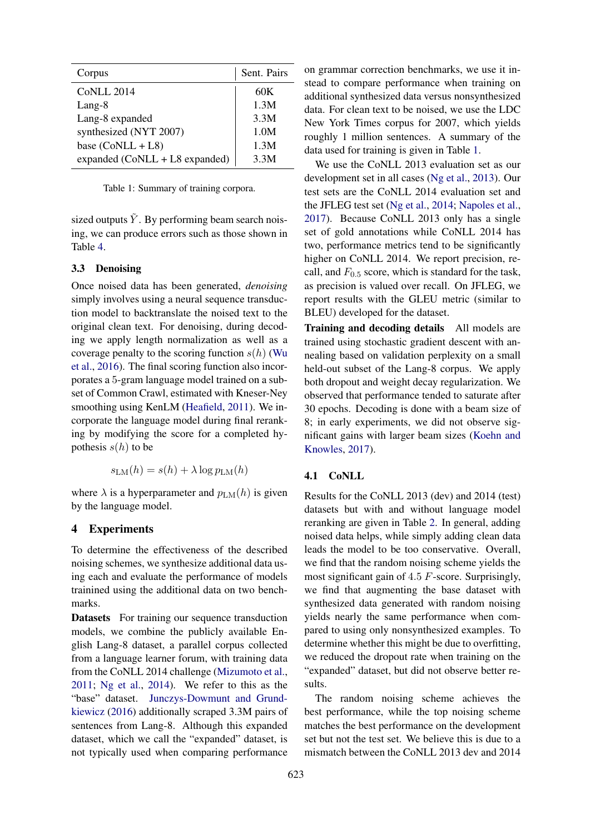| Corpus                           | Sent. Pairs |
|----------------------------------|-------------|
| <b>CoNLL 2014</b>                | 60K         |
| Lang-8                           | 1.3M        |
| Lang-8 expanded                  | 3.3M        |
| synthesized (NYT 2007)           | 1.0M        |
| base $(CoNLL + LS)$              | 1.3M        |
| expanded $(CoNLL + LS$ expanded) | 3.3M        |

Table 1: Summary of training corpora.

sized outputs  $Y$ . By performing beam search noising, we can produce errors such as those shown in Table 4.

#### 3.3 Denoising

Once noised data has been generated, *denoising* simply involves using a neural sequence transduction model to backtranslate the noised text to the original clean text. For denoising, during decoding we apply length normalization as well as a coverage penalty to the scoring function  $s(h)$  (Wu et al., 2016). The final scoring function also incorporates a 5-gram language model trained on a subset of Common Crawl, estimated with Kneser-Ney smoothing using KenLM (Heafield, 2011). We incorporate the language model during final reranking by modifying the score for a completed hypothesis  $s(h)$  to be

$$
s_{\text{LM}}(h) = s(h) + \lambda \log p_{\text{LM}}(h)
$$

where  $\lambda$  is a hyperparameter and  $p_{LM}(h)$  is given by the language model.

#### 4 Experiments

To determine the effectiveness of the described noising schemes, we synthesize additional data using each and evaluate the performance of models trainined using the additional data on two benchmarks.

Datasets For training our sequence transduction models, we combine the publicly available English Lang-8 dataset, a parallel corpus collected from a language learner forum, with training data from the CoNLL 2014 challenge (Mizumoto et al., 2011; Ng et al., 2014). We refer to this as the "base" dataset. Junczys-Dowmunt and Grundkiewicz (2016) additionally scraped 3.3M pairs of sentences from Lang-8. Although this expanded dataset, which we call the "expanded" dataset, is not typically used when comparing performance on grammar correction benchmarks, we use it instead to compare performance when training on additional synthesized data versus nonsynthesized data. For clean text to be noised, we use the LDC New York Times corpus for 2007, which yields roughly 1 million sentences. A summary of the data used for training is given in Table 1.

We use the CoNLL 2013 evaluation set as our development set in all cases (Ng et al., 2013). Our test sets are the CoNLL 2014 evaluation set and the JFLEG test set (Ng et al., 2014; Napoles et al., 2017). Because CoNLL 2013 only has a single set of gold annotations while CoNLL 2014 has two, performance metrics tend to be significantly higher on CoNLL 2014. We report precision, recall, and  $F_{0.5}$  score, which is standard for the task, as precision is valued over recall. On JFLEG, we report results with the GLEU metric (similar to BLEU) developed for the dataset.

Training and decoding details All models are trained using stochastic gradient descent with annealing based on validation perplexity on a small held-out subset of the Lang-8 corpus. We apply both dropout and weight decay regularization. We observed that performance tended to saturate after 30 epochs. Decoding is done with a beam size of 8; in early experiments, we did not observe significant gains with larger beam sizes (Koehn and Knowles, 2017).

## 4.1 CoNLL

Results for the CoNLL 2013 (dev) and 2014 (test) datasets but with and without language model reranking are given in Table 2. In general, adding noised data helps, while simply adding clean data leads the model to be too conservative. Overall, we find that the random noising scheme yields the most significant gain of 4.5 F-score. Surprisingly, we find that augmenting the base dataset with synthesized data generated with random noising yields nearly the same performance when compared to using only nonsynthesized examples. To determine whether this might be due to overfitting, we reduced the dropout rate when training on the "expanded" dataset, but did not observe better results.

The random noising scheme achieves the best performance, while the top noising scheme matches the best performance on the development set but not the test set. We believe this is due to a mismatch between the CoNLL 2013 dev and 2014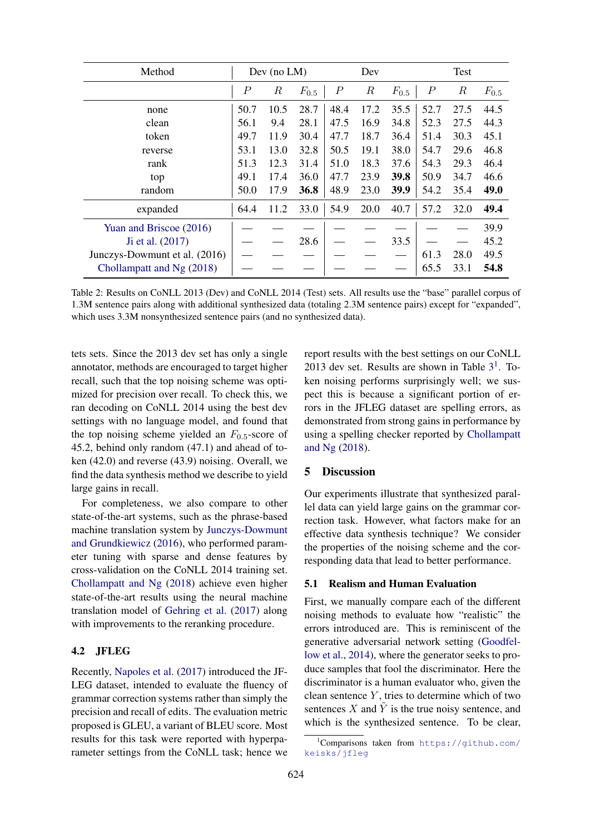| Method                        | Dev (no $LM$ )   |                  | Dev       |                  | Test             |           |           |        |           |
|-------------------------------|------------------|------------------|-----------|------------------|------------------|-----------|-----------|--------|-----------|
|                               | $\boldsymbol{P}$ | $\boldsymbol{R}$ | $F_{0.5}$ | $\boldsymbol{P}$ | $\boldsymbol{R}$ | $F_{0.5}$ | $\, P \,$ | $_{R}$ | $F_{0.5}$ |
| none                          | 50.7             | 10.5             | 28.7      | 48.4             | 17.2             | 35.5      | 52.7      | 27.5   | 44.5      |
| clean                         | 56.1             | 9.4              | 28.1      | 47.5             | 16.9             | 34.8      | 52.3      | 27.5   | 44.3      |
| token                         | 49.7             | 11.9             | 30.4      | 47.7             | 18.7             | 36.4      | 51.4      | 30.3   | 45.1      |
| reverse                       | 53.1             | 13.0             | 32.8      | 50.5             | 19.1             | 38.0      | 54.7      | 29.6   | 46.8      |
| rank                          | 51.3             | 12.3             | 31.4      | 51.0             | 18.3             | 37.6      | 54.3      | 29.3   | 46.4      |
| top                           | 49.1             | 17.4             | 36.0      | 47.7             | 23.9             | 39.8      | 50.9      | 34.7   | 46.6      |
| random                        | 50.0             | 17.9             | 36.8      | 48.9             | 23.0             | 39.9      | 54.2      | 35.4   | 49.0      |
| expanded                      | 64.4             | 11.2             | 33.0      | 54.9             | 20.0             | 40.7      | 57.2      | 32.0   | 49.4      |
| Yuan and Briscoe (2016)       |                  |                  |           |                  |                  |           |           |        | 39.9      |
| Ji et al. (2017)              |                  |                  | 28.6      |                  |                  | 33.5      |           |        | 45.2      |
| Junczys-Dowmunt et al. (2016) |                  |                  |           |                  |                  |           | 61.3      | 28.0   | 49.5      |
| Chollampatt and Ng (2018)     |                  |                  |           |                  |                  |           | 65.5      | 33.1   | 54.8      |

Table 2: Results on CoNLL 2013 (Dev) and CoNLL 2014 (Test) sets. All results use the "base" parallel corpus of 1.3M sentence pairs along with additional synthesized data (totaling 2.3M sentence pairs) except for "expanded", which uses 3.3M nonsynthesized sentence pairs (and no synthesized data).

tets sets. Since the 2013 dev set has only a single annotator, methods are encouraged to target higher recall, such that the top noising scheme was optimized for precision over recall. To check this, we ran decoding on CoNLL 2014 using the best dev settings with no language model, and found that the top noising scheme yielded an  $F_{0.5}$ -score of 45.2, behind only random (47.1) and ahead of token (42.0) and reverse (43.9) noising. Overall, we find the data synthesis method we describe to yield large gains in recall.

For completeness, we also compare to other state-of-the-art systems, such as the phrase-based machine translation system by Junczys-Dowmunt and Grundkiewicz (2016), who performed parameter tuning with sparse and dense features by cross-validation on the CoNLL 2014 training set. Chollampatt and Ng (2018) achieve even higher state-of-the-art results using the neural machine translation model of Gehring et al. (2017) along with improvements to the reranking procedure.

## 4.2 JFLEG

Recently, Napoles et al. (2017) introduced the JF-LEG dataset, intended to evaluate the fluency of grammar correction systems rather than simply the precision and recall of edits. The evaluation metric proposed is GLEU, a variant of BLEU score. Most results for this task were reported with hyperparameter settings from the CoNLL task; hence we report results with the best settings on our CoNLL 2013 dev set. Results are shown in Table  $3<sup>1</sup>$ . Token noising performs surprisingly well; we suspect this is because a significant portion of errors in the JFLEG dataset are spelling errors, as demonstrated from strong gains in performance by using a spelling checker reported by Chollampatt and Ng (2018).

## 5 Discussion

Our experiments illustrate that synthesized parallel data can yield large gains on the grammar correction task. However, what factors make for an effective data synthesis technique? We consider the properties of the noising scheme and the corresponding data that lead to better performance.

#### 5.1 Realism and Human Evaluation

First, we manually compare each of the different noising methods to evaluate how "realistic" the errors introduced are. This is reminiscent of the generative adversarial network setting (Goodfellow et al., 2014), where the generator seeks to produce samples that fool the discriminator. Here the discriminator is a human evaluator who, given the clean sentence  $Y$ , tries to determine which of two sentences  $X$  and  $\overline{Y}$  is the true noisy sentence, and which is the synthesized sentence. To be clear,

<sup>1</sup>Comparisons taken from https://github.com/ keisks/jfleg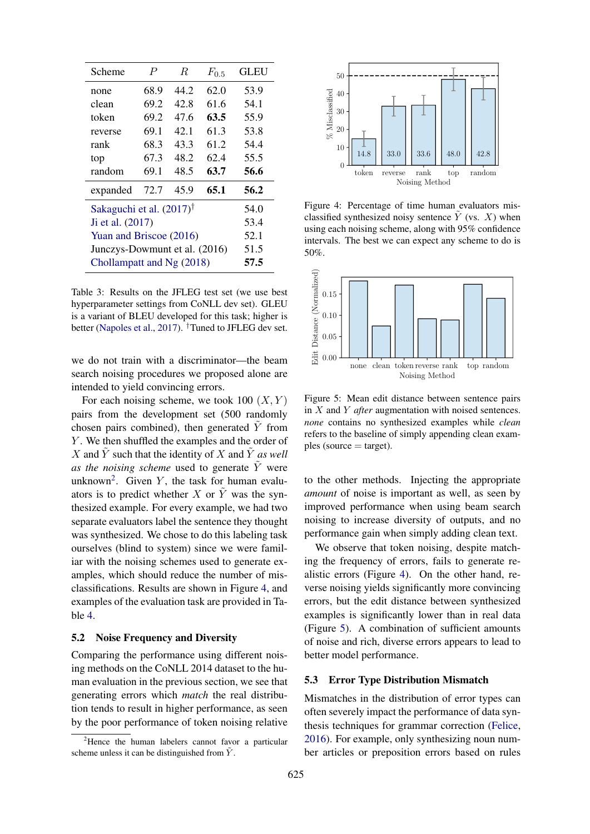| Scheme                              | $\boldsymbol{P}$ | R    | $F_{0.5}$ | <b>GLEU</b> |
|-------------------------------------|------------------|------|-----------|-------------|
| none                                | 68.9             | 44.2 | 62.0      | 53.9        |
| clean                               | 69.2             | 42.8 | 61.6      | 54.1        |
| token                               | 69.2             | 47.6 | 63.5      | 55.9        |
| reverse                             | 69.1             | 42.1 | 61.3      | 53.8        |
| rank                                | 68.3             | 43.3 | 61.2      | 54.4        |
| top                                 | 67.3             | 48.2 | 62.4      | 55.5        |
| random                              | 69.1             | 48.5 | 63.7      | 56.6        |
| expanded                            | 72.7             | 45.9 | 65.1      | 56.2        |
| Sakaguchi et al. $(2017)^{\dagger}$ | 54.0             |      |           |             |
| Ji et al. (2017)                    | 53.4             |      |           |             |
| Yuan and Briscoe (2016)             | 52.1             |      |           |             |
| Junczys-Dowmunt et al. (2016)       | 51.5             |      |           |             |
| Chollampatt and Ng (2018)           | 57.5             |      |           |             |

Table 3: Results on the JFLEG test set (we use best hyperparameter settings from CoNLL dev set). GLEU is a variant of BLEU developed for this task; higher is better (Napoles et al., 2017). <sup>†</sup>Tuned to JFLEG dev set.

we do not train with a discriminator—the beam search noising procedures we proposed alone are intended to yield convincing errors.

For each noising scheme, we took 100  $(X, Y)$ pairs from the development set (500 randomly chosen pairs combined), then generated  $\tilde{Y}$  from Y. We then shuffled the examples and the order of X and  $\tilde{Y}$  such that the identity of X and  $\tilde{Y}$  *as well as the noising scheme* used to generate  $\tilde{Y}$  were unknown<sup>2</sup>. Given Y, the task for human evaluators is to predict whether X or  $\tilde{Y}$  was the synthesized example. For every example, we had two separate evaluators label the sentence they thought was synthesized. We chose to do this labeling task ourselves (blind to system) since we were familiar with the noising schemes used to generate examples, which should reduce the number of misclassifications. Results are shown in Figure 4, and examples of the evaluation task are provided in Table 4.

#### 5.2 Noise Frequency and Diversity

Comparing the performance using different noising methods on the CoNLL 2014 dataset to the human evaluation in the previous section, we see that generating errors which *match* the real distribution tends to result in higher performance, as seen by the poor performance of token noising relative



Figure 4: Percentage of time human evaluators misclassified synthesized noisy sentence  $Y$  (vs.  $X$ ) when using each noising scheme, along with 95% confidence intervals. The best we can expect any scheme to do is 50%.



Figure 5: Mean edit distance between sentence pairs in X and Y *after* augmentation with noised sentences. *none* contains no synthesized examples while *clean* refers to the baseline of simply appending clean exam $p$ les (source  $=$  target).

to the other methods. Injecting the appropriate *amount* of noise is important as well, as seen by improved performance when using beam search noising to increase diversity of outputs, and no performance gain when simply adding clean text.

We observe that token noising, despite matching the frequency of errors, fails to generate realistic errors (Figure 4). On the other hand, reverse noising yields significantly more convincing errors, but the edit distance between synthesized examples is significantly lower than in real data (Figure 5). A combination of sufficient amounts of noise and rich, diverse errors appears to lead to better model performance.

## 5.3 Error Type Distribution Mismatch

Mismatches in the distribution of error types can often severely impact the performance of data synthesis techniques for grammar correction (Felice, 2016). For example, only synthesizing noun number articles or preposition errors based on rules

 $2^2$ Hence the human labelers cannot favor a particular scheme unless it can be distinguished from  $\tilde{Y}$ .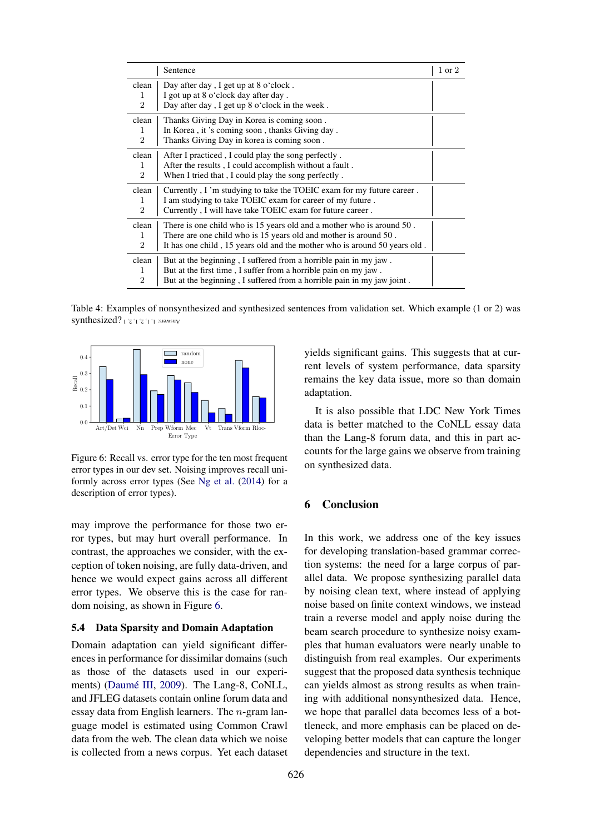|                                           | Sentence                                                                                                                                                                                                               | 1 or 2 |
|-------------------------------------------|------------------------------------------------------------------------------------------------------------------------------------------------------------------------------------------------------------------------|--------|
| clean<br>1<br>$\overline{2}$              | Day after day, I get up at 8 o'clock.<br>I got up at 8 o'clock day after day.<br>Day after day, I get up 8 o'clock in the week.                                                                                        |        |
| clean<br>1<br>$\overline{2}$              | Thanks Giving Day in Korea is coming soon.<br>In Korea, it's coming soon, thanks Giving day.<br>Thanks Giving Day in korea is coming soon.                                                                             |        |
| clean<br>1<br>$\mathcal{D}_{\mathcal{L}}$ | After I practiced, I could play the song perfectly.<br>After the results, I could accomplish without a fault.<br>When I tried that, I could play the song perfectly.                                                   |        |
| clean<br>1<br>$\overline{2}$              | Currently, I'm studying to take the TOEIC exam for my future career.<br>I am studying to take TOEIC exam for career of my future.<br>Currently, I will have take TOEIC exam for future career.                         |        |
| clean<br>1<br>$\overline{2}$              | There is one child who is 15 years old and a mother who is around 50.<br>There are one child who is 15 years old and mother is around 50.<br>It has one child, 15 years old and the mother who is around 50 years old. |        |
| clean<br>1<br>$\mathcal{D}_{\mathcal{L}}$ | But at the beginning, I suffered from a horrible pain in my jaw.<br>But at the first time, I suffer from a horrible pain on my jaw.<br>But at the beginning, I suffered from a horrible pain in my jaw joint.          |        |

Table 4: Examples of nonsynthesized and synthesized sentences from validation set. Which example (1 or 2) was synthesized? ['z']'z'1'] :sJamsuy



Figure 6: Recall vs. error type for the ten most frequent error types in our dev set. Noising improves recall uniformly across error types (See Ng et al. (2014) for a description of error types).

may improve the performance for those two error types, but may hurt overall performance. In contrast, the approaches we consider, with the exception of token noising, are fully data-driven, and hence we would expect gains across all different error types. We observe this is the case for random noising, as shown in Figure 6.

#### 5.4 Data Sparsity and Domain Adaptation

Domain adaptation can yield significant differences in performance for dissimilar domains (such as those of the datasets used in our experiments) (Daumé III, 2009). The Lang-8, CoNLL, and JFLEG datasets contain online forum data and essay data from English learners. The n-gram language model is estimated using Common Crawl data from the web. The clean data which we noise is collected from a news corpus. Yet each dataset yields significant gains. This suggests that at current levels of system performance, data sparsity remains the key data issue, more so than domain adaptation.

It is also possible that LDC New York Times data is better matched to the CoNLL essay data than the Lang-8 forum data, and this in part accounts for the large gains we observe from training on synthesized data.

# 6 Conclusion

In this work, we address one of the key issues for developing translation-based grammar correction systems: the need for a large corpus of parallel data. We propose synthesizing parallel data by noising clean text, where instead of applying noise based on finite context windows, we instead train a reverse model and apply noise during the beam search procedure to synthesize noisy examples that human evaluators were nearly unable to distinguish from real examples. Our experiments suggest that the proposed data synthesis technique can yields almost as strong results as when training with additional nonsynthesized data. Hence, we hope that parallel data becomes less of a bottleneck, and more emphasis can be placed on developing better models that can capture the longer dependencies and structure in the text.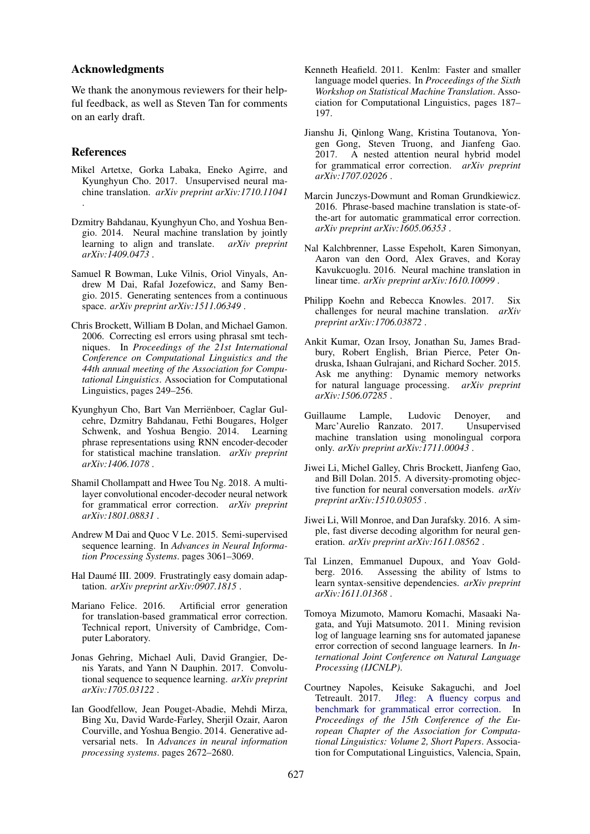#### Acknowledgments

We thank the anonymous reviewers for their helpful feedback, as well as Steven Tan for comments on an early draft.

#### References

- Mikel Artetxe, Gorka Labaka, Eneko Agirre, and Kyunghyun Cho. 2017. Unsupervised neural machine translation. *arXiv preprint arXiv:1710.11041* .
- Dzmitry Bahdanau, Kyunghyun Cho, and Yoshua Bengio. 2014. Neural machine translation by jointly learning to align and translate. *arXiv preprint arXiv:1409.0473* .
- Samuel R Bowman, Luke Vilnis, Oriol Vinyals, Andrew M Dai, Rafal Jozefowicz, and Samy Bengio. 2015. Generating sentences from a continuous space. *arXiv preprint arXiv:1511.06349* .
- Chris Brockett, William B Dolan, and Michael Gamon. 2006. Correcting esl errors using phrasal smt techniques. In *Proceedings of the 21st International Conference on Computational Linguistics and the 44th annual meeting of the Association for Computational Linguistics*. Association for Computational Linguistics, pages 249–256.
- Kyunghyun Cho, Bart Van Merrienboer, Caglar Gul- ¨ cehre, Dzmitry Bahdanau, Fethi Bougares, Holger Schwenk, and Yoshua Bengio. 2014. Learning phrase representations using RNN encoder-decoder for statistical machine translation. *arXiv preprint arXiv:1406.1078* .
- Shamil Chollampatt and Hwee Tou Ng. 2018. A multilayer convolutional encoder-decoder neural network for grammatical error correction. *arXiv preprint arXiv:1801.08831* .
- Andrew M Dai and Quoc V Le. 2015. Semi-supervised sequence learning. In *Advances in Neural Information Processing Systems*. pages 3061–3069.
- Hal Daumé III. 2009. Frustratingly easy domain adaptation. *arXiv preprint arXiv:0907.1815* .
- Mariano Felice. 2016. Artificial error generation for translation-based grammatical error correction. Technical report, University of Cambridge, Computer Laboratory.
- Jonas Gehring, Michael Auli, David Grangier, Denis Yarats, and Yann N Dauphin. 2017. Convolutional sequence to sequence learning. *arXiv preprint arXiv:1705.03122* .
- Ian Goodfellow, Jean Pouget-Abadie, Mehdi Mirza, Bing Xu, David Warde-Farley, Sherjil Ozair, Aaron Courville, and Yoshua Bengio. 2014. Generative adversarial nets. In *Advances in neural information processing systems*. pages 2672–2680.
- Kenneth Heafield. 2011. Kenlm: Faster and smaller language model queries. In *Proceedings of the Sixth Workshop on Statistical Machine Translation*. Association for Computational Linguistics, pages 187– 197.
- Jianshu Ji, Qinlong Wang, Kristina Toutanova, Yongen Gong, Steven Truong, and Jianfeng Gao. 2017. A nested attention neural hybrid model for grammatical error correction. *arXiv preprint arXiv:1707.02026* .
- Marcin Junczys-Dowmunt and Roman Grundkiewicz. 2016. Phrase-based machine translation is state-ofthe-art for automatic grammatical error correction. *arXiv preprint arXiv:1605.06353* .
- Nal Kalchbrenner, Lasse Espeholt, Karen Simonyan, Aaron van den Oord, Alex Graves, and Koray Kavukcuoglu. 2016. Neural machine translation in linear time. *arXiv preprint arXiv:1610.10099* .
- Philipp Koehn and Rebecca Knowles. 2017. Six challenges for neural machine translation. *arXiv preprint arXiv:1706.03872* .
- Ankit Kumar, Ozan Irsoy, Jonathan Su, James Bradbury, Robert English, Brian Pierce, Peter Ondruska, Ishaan Gulrajani, and Richard Socher. 2015. Ask me anything: Dynamic memory networks for natural language processing. *arXiv preprint arXiv:1506.07285* .
- Guillaume Lample, Ludovic Denoyer, and Marc'Aurelio Ranzato. 2017. Unsupervised machine translation using monolingual corpora only. *arXiv preprint arXiv:1711.00043* .
- Jiwei Li, Michel Galley, Chris Brockett, Jianfeng Gao, and Bill Dolan. 2015. A diversity-promoting objective function for neural conversation models. *arXiv preprint arXiv:1510.03055* .
- Jiwei Li, Will Monroe, and Dan Jurafsky. 2016. A simple, fast diverse decoding algorithm for neural generation. *arXiv preprint arXiv:1611.08562* .
- Tal Linzen, Emmanuel Dupoux, and Yoav Goldberg. 2016. Assessing the ability of lstms to learn syntax-sensitive dependencies. *arXiv preprint arXiv:1611.01368* .
- Tomoya Mizumoto, Mamoru Komachi, Masaaki Nagata, and Yuji Matsumoto. 2011. Mining revision log of language learning sns for automated japanese error correction of second language learners. In *International Joint Conference on Natural Language Processing (IJCNLP)*.
- Courtney Napoles, Keisuke Sakaguchi, and Joel Jfleg: A fluency corpus and benchmark for grammatical error correction. In *Proceedings of the 15th Conference of the European Chapter of the Association for Computational Linguistics: Volume 2, Short Papers*. Association for Computational Linguistics, Valencia, Spain,